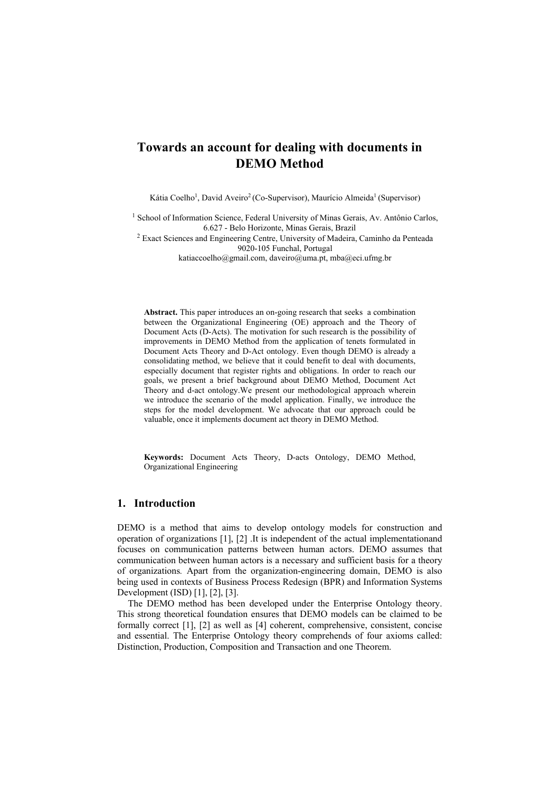# **Towards an account for dealing with documents in DEMO Method**

Kátia Coelho<sup>1</sup>, David Aveiro<sup>2</sup> (Co-Supervisor), Maurício Almeida<sup>1</sup> (Supervisor)

<sup>1</sup> School of Information Science, Federal University of Minas Gerais, Av. Antônio Carlos,

6.627 - Belo Horizonte, Minas Gerais, Brazil 2 Exact Sciences and Engineering Centre, University of Madeira, Caminho da Penteada 9020-105 Funchal, Portugal

katiaccoelho@gmail.com, daveiro@uma.pt, mba@eci.ufmg.br

**Abstract.** This paper introduces an on-going research that seeks a combination between the Organizational Engineering (OE) approach and the Theory of Document Acts (D-Acts). The motivation for such research is the possibility of improvements in DEMO Method from the application of tenets formulated in Document Acts Theory and D-Act ontology. Even though DEMO is already a consolidating method, we believe that it could benefit to deal with documents, especially document that register rights and obligations. In order to reach our goals, we present a brief background about DEMO Method, Document Act Theory and d-act ontology.We present our methodological approach wherein we introduce the scenario of the model application. Finally, we introduce the steps for the model development. We advocate that our approach could be valuable, once it implements document act theory in DEMO Method.

**Keywords:** Document Acts Theory, D-acts Ontology, DEMO Method, Organizational Engineering

## **1. Introduction**

DEMO is a method that aims to develop ontology models for construction and operation of organizations [1], [2] .It is independent of the actual implementationand focuses on communication patterns between human actors. DEMO assumes that communication between human actors is a necessary and sufficient basis for a theory of organizations*.* Apart from the organization-engineering domain, DEMO is also being used in contexts of Business Process Redesign (BPR) and Information Systems Development (ISD) [1], [2], [3].

The DEMO method has been developed under the Enterprise Ontology theory. This strong theoretical foundation ensures that DEMO models can be claimed to be formally correct [1], [2] as well as [4] coherent, comprehensive, consistent, concise and essential. The Enterprise Ontology theory comprehends of four axioms called: Distinction, Production, Composition and Transaction and one Theorem.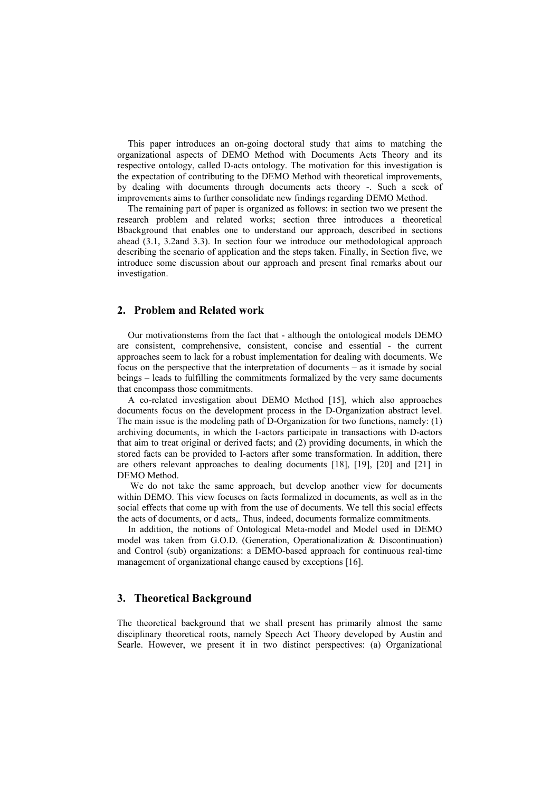This paper introduces an on-going doctoral study that aims to matching the organizational aspects of DEMO Method with Documents Acts Theory and its respective ontology, called D-acts ontology. The motivation for this investigation is the expectation of contributing to the DEMO Method with theoretical improvements, by dealing with documents through documents acts theory -. Such a seek of improvements aims to further consolidate new findings regarding DEMO Method.

The remaining part of paper is organized as follows: in section two we present the research problem and related works; section three introduces a theoretical Bbackground that enables one to understand our approach, described in sections ahead (3.1, 3.2and 3.3). In section four we introduce our methodological approach describing the scenario of application and the steps taken. Finally, in Section five, we introduce some discussion about our approach and present final remarks about our investigation.

## **2. Problem and Related work**

Our motivationstems from the fact that - although the ontological models DEMO are consistent, comprehensive, consistent, concise and essential - the current approaches seem to lack for a robust implementation for dealing with documents. We focus on the perspective that the interpretation of documents – as it ismade by social beings – leads to fulfilling the commitments formalized by the very same documents that encompass those commitments.

A co-related investigation about DEMO Method [15], which also approaches documents focus on the development process in the D-Organization abstract level. The main issue is the modeling path of D-Organization for two functions, namely: (1) archiving documents, in which the I-actors participate in transactions with D-actors that aim to treat original or derived facts; and (2) providing documents, in which the stored facts can be provided to I-actors after some transformation. In addition, there are others relevant approaches to dealing documents [18], [19], [20] and [21] in DEMO Method.

 We do not take the same approach, but develop another view for documents within DEMO. This view focuses on facts formalized in documents, as well as in the social effects that come up with from the use of documents. We tell this social effects the acts of documents, or d acts,. Thus, indeed, documents formalize commitments.

In addition, the notions of Ontological Meta-model and Model used in DEMO model was taken from G.O.D. (Generation, Operationalization & Discontinuation) and Control (sub) organizations: a DEMO-based approach for continuous real-time management of organizational change caused by exceptions [16].

## **3. Theoretical Background**

The theoretical background that we shall present has primarily almost the same disciplinary theoretical roots, namely Speech Act Theory developed by Austin and Searle. However, we present it in two distinct perspectives: (a) Organizational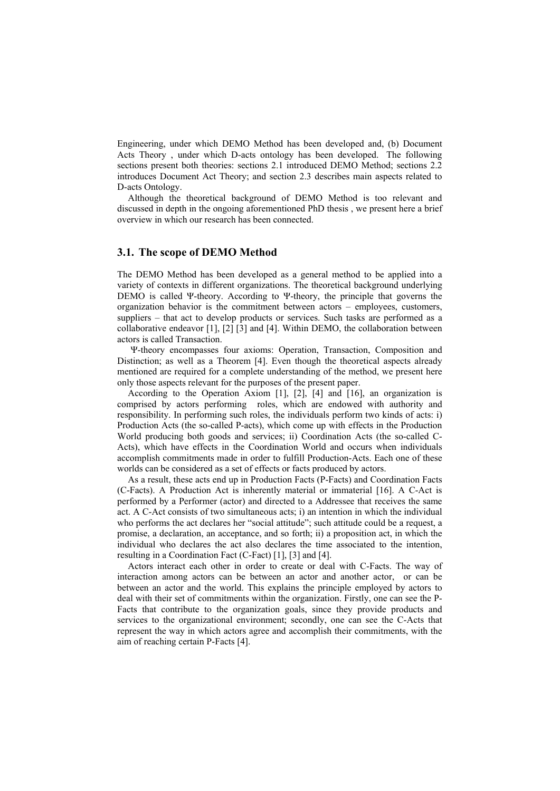Engineering, under which DEMO Method has been developed and, (b) Document Acts Theory , under which D-acts ontology has been developed. The following sections present both theories: sections 2.1 introduced DEMO Method; sections 2.2 introduces Document Act Theory; and section 2.3 describes main aspects related to D-acts Ontology.

Although the theoretical background of DEMO Method is too relevant and discussed in depth in the ongoing aforementioned PhD thesis , we present here a brief overview in which our research has been connected.

## **3.1. The scope of DEMO Method**

The DEMO Method has been developed as a general method to be applied into a variety of contexts in different organizations. The theoretical background underlying DEMO is called Ψ-theory. According to Ψ-theory, the principle that governs the organization behavior is the commitment between actors – employees, customers, suppliers – that act to develop products or services. Such tasks are performed as a collaborative endeavor [1], [2] [3] and [4]. Within DEMO, the collaboration between actors is called Transaction.

Ψ-theory encompasses four axioms: Operation, Transaction, Composition and Distinction; as well as a Theorem [4]. Even though the theoretical aspects already mentioned are required for a complete understanding of the method, we present here only those aspects relevant for the purposes of the present paper.

According to the Operation Axiom [1], [2], [4] and [16], an organization is comprised by actors performing roles, which are endowed with authority and responsibility. In performing such roles, the individuals perform two kinds of acts: i) Production Acts (the so-called P-acts), which come up with effects in the Production World producing both goods and services; ii) Coordination Acts (the so-called C-Acts), which have effects in the Coordination World and occurs when individuals accomplish commitments made in order to fulfill Production-Acts. Each one of these worlds can be considered as a set of effects or facts produced by actors.

As a result, these acts end up in Production Facts (P-Facts) and Coordination Facts (C-Facts). A Production Act is inherently material or immaterial [16]. A C-Act is performed by a Performer (actor) and directed to a Addressee that receives the same act. A C-Act consists of two simultaneous acts; i) an intention in which the individual who performs the act declares her "social attitude"; such attitude could be a request, a promise, a declaration, an acceptance, and so forth; ii) a proposition act, in which the individual who declares the act also declares the time associated to the intention, resulting in a Coordination Fact (C-Fact) [1], [3] and [4].

Actors interact each other in order to create or deal with C-Facts. The way of interaction among actors can be between an actor and another actor, or can be between an actor and the world. This explains the principle employed by actors to deal with their set of commitments within the organization. Firstly, one can see the P-Facts that contribute to the organization goals, since they provide products and services to the organizational environment; secondly, one can see the C-Acts that represent the way in which actors agree and accomplish their commitments, with the aim of reaching certain P-Facts [4].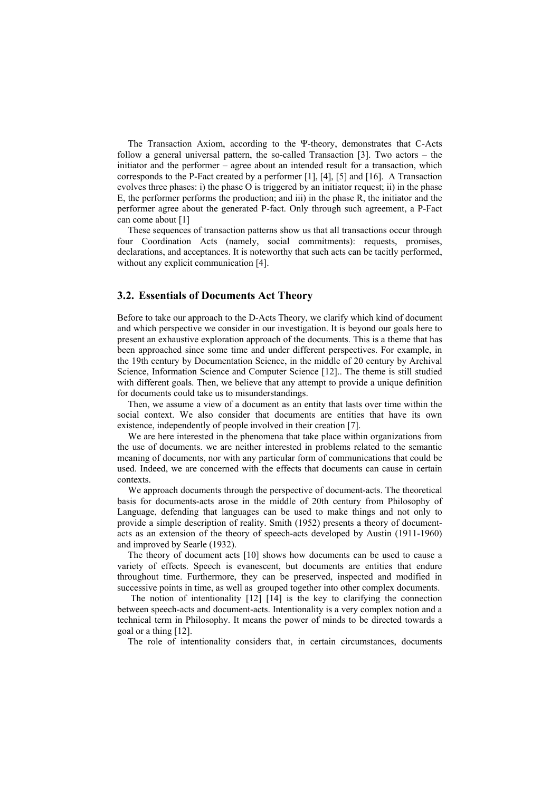The Transaction Axiom, according to the Ψ-theory, demonstrates that C-Acts follow a general universal pattern, the so-called Transaction [3]. Two actors – the initiator and the performer – agree about an intended result for a transaction, which corresponds to the P-Fact created by a performer [1], [4], [5] and [16]. A Transaction evolves three phases: i) the phase O is triggered by an initiator request; ii) in the phase E, the performer performs the production; and iii) in the phase R, the initiator and the performer agree about the generated P-fact. Only through such agreement, a P-Fact can come about [1]

These sequences of transaction patterns show us that all transactions occur through four Coordination Acts (namely, social commitments): requests, promises, declarations, and acceptances. It is noteworthy that such acts can be tacitly performed, without any explicit communication [4].

## **3.2. Essentials of Documents Act Theory**

Before to take our approach to the D-Acts Theory, we clarify which kind of document and which perspective we consider in our investigation. It is beyond our goals here to present an exhaustive exploration approach of the documents. This is a theme that has been approached since some time and under different perspectives. For example, in the 19th century by Documentation Science, in the middle of 20 century by Archival Science, Information Science and Computer Science [12].. The theme is still studied with different goals. Then, we believe that any attempt to provide a unique definition for documents could take us to misunderstandings.

Then, we assume a view of a document as an entity that lasts over time within the social context. We also consider that documents are entities that have its own existence, independently of people involved in their creation [7].

We are here interested in the phenomena that take place within organizations from the use of documents. we are neither interested in problems related to the semantic meaning of documents, nor with any particular form of communications that could be used. Indeed, we are concerned with the effects that documents can cause in certain contexts.

We approach documents through the perspective of document-acts. The theoretical basis for documents-acts arose in the middle of 20th century from Philosophy of Language, defending that languages can be used to make things and not only to provide a simple description of reality. Smith (1952) presents a theory of documentacts as an extension of the theory of speech-acts developed by Austin (1911-1960) and improved by Searle (1932).

The theory of document acts [10] shows how documents can be used to cause a variety of effects. Speech is evanescent, but documents are entities that endure throughout time. Furthermore, they can be preserved, inspected and modified in successive points in time, as well as grouped together into other complex documents.

The notion of intentionality [12] [14] is the key to clarifying the connection between speech-acts and document-acts. Intentionality is a very complex notion and a technical term in Philosophy. It means the power of minds to be directed towards a goal or a thing [12].

The role of intentionality considers that, in certain circumstances, documents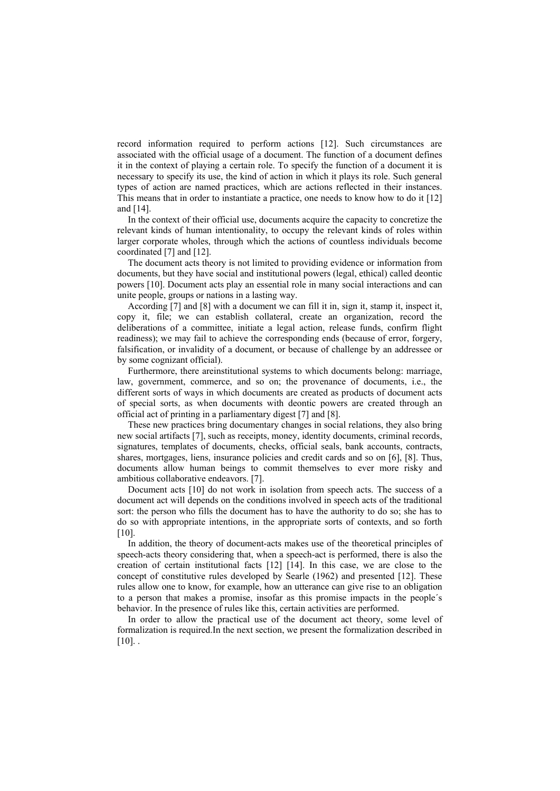record information required to perform actions [12]. Such circumstances are associated with the official usage of a document. The function of a document defines it in the context of playing a certain role. To specify the function of a document it is necessary to specify its use, the kind of action in which it plays its role. Such general types of action are named practices, which are actions reflected in their instances. This means that in order to instantiate a practice, one needs to know how to do it [12] and [14].

In the context of their official use, documents acquire the capacity to concretize the relevant kinds of human intentionality, to occupy the relevant kinds of roles within larger corporate wholes, through which the actions of countless individuals become coordinated [7] and [12].

The document acts theory is not limited to providing evidence or information from documents, but they have social and institutional powers (legal, ethical) called deontic powers [10]. Document acts play an essential role in many social interactions and can unite people, groups or nations in a lasting way.

According [7] and [8] with a document we can fill it in, sign it, stamp it, inspect it, copy it, file; we can establish collateral, create an organization, record the deliberations of a committee, initiate a legal action, release funds, confirm flight readiness); we may fail to achieve the corresponding ends (because of error, forgery, falsification, or invalidity of a document, or because of challenge by an addressee or by some cognizant official).

Furthermore, there areinstitutional systems to which documents belong: marriage, law, government, commerce, and so on; the provenance of documents, i.e., the different sorts of ways in which documents are created as products of document acts of special sorts, as when documents with deontic powers are created through an official act of printing in a parliamentary digest [7] and [8].

These new practices bring documentary changes in social relations, they also bring new social artifacts [7], such as receipts, money, identity documents, criminal records, signatures, templates of documents, checks, official seals, bank accounts, contracts, shares, mortgages, liens, insurance policies and credit cards and so on [6], [8]. Thus, documents allow human beings to commit themselves to ever more risky and ambitious collaborative endeavors. [7].

Document acts [10] do not work in isolation from speech acts. The success of a document act will depends on the conditions involved in speech acts of the traditional sort: the person who fills the document has to have the authority to do so; she has to do so with appropriate intentions, in the appropriate sorts of contexts, and so forth [10].

In addition, the theory of document-acts makes use of the theoretical principles of speech-acts theory considering that, when a speech-act is performed, there is also the creation of certain institutional facts [12] [14]. In this case, we are close to the concept of constitutive rules developed by Searle (1962) and presented [12]. These rules allow one to know, for example, how an utterance can give rise to an obligation to a person that makes a promise, insofar as this promise impacts in the people´s behavior. In the presence of rules like this, certain activities are performed.

In order to allow the practical use of the document act theory, some level of formalization is required.In the next section, we present the formalization described in  $[10]$ .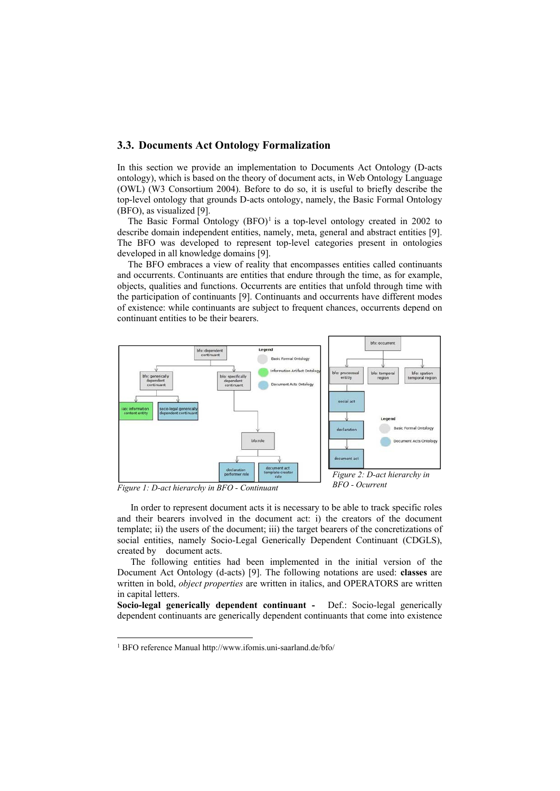## **3.3. Documents Act Ontology Formalization**

In this section we provide an implementation to Documents Act Ontology (D-acts ontology), which is based on the theory of document acts, in Web Ontology Language (OWL) (W3 Consortium 2004). Before to do so, it is useful to briefly describe the top-level ontology that grounds D-acts ontology, namely, the Basic Formal Ontology (BFO), as visualized [9].

The Basic Formal Ontology  $(BFO)^1$  is a top-level ontology created in 2002 to describe domain independent entities, namely, meta, general and abstract entities [9]. The BFO was developed to represent top-level categories present in ontologies developed in all knowledge domains [9].

The BFO embraces a view of reality that encompasses entities called continuants and occurrents. Continuants are entities that endure through the time, as for example, objects, qualities and functions. Occurrents are entities that unfold through time with the participation of continuants [9]. Continuants and occurrents have different modes of existence: while continuants are subject to frequent chances, occurrents depend on continuant entities to be their bearers.



*Figure 1: D-act hierarchy in BFO - Continuant* 

 

In order to represent document acts it is necessary to be able to track specific roles and their bearers involved in the document act: i) the creators of the document template; ii) the users of the document; iii) the target bearers of the concretizations of social entities, namely Socio-Legal Generically Dependent Continuant (CDGLS), created by document acts.

The following entities had been implemented in the initial version of the Document Act Ontology (d-acts) [9]. The following notations are used: **classes** are written in bold, *object properties* are written in italics, and OPERATORS are written in capital letters.

**Socio-legal generically dependent continuant -** Def.: Socio-legal generically dependent continuants are generically dependent continuants that come into existence

<sup>1</sup> BFO reference Manual http://www.ifomis.uni-saarland.de/bfo/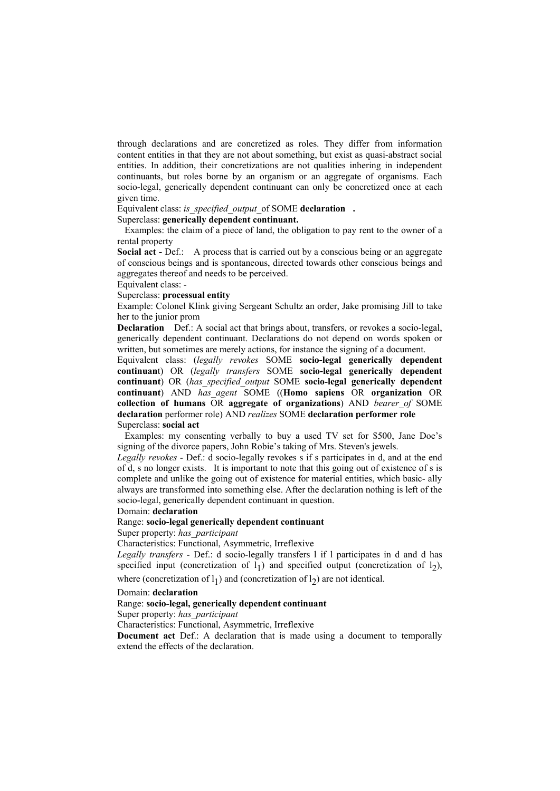through declarations and are concretized as roles. They differ from information content entities in that they are not about something, but exist as quasi-abstract social entities. In addition, their concretizations are not qualities inhering in independent continuants, but roles borne by an organism or an aggregate of organisms. Each socio-legal, generically dependent continuant can only be concretized once at each given time.

Equivalent class: *is\_specified\_output\_*of SOME **declaration.**

#### Superclass: **generically dependent continuant.**

Examples: the claim of a piece of land, the obligation to pay rent to the owner of a rental property

**Social act - Def.:** A process that is carried out by a conscious being or an aggregate of conscious beings and is spontaneous, directed towards other conscious beings and aggregates thereof and needs to be perceived.

Equivalent class: -

## Superclass: **processual entity**

Example: Colonel Klink giving Sergeant Schultz an order, Jake promising Jill to take her to the junior prom

**Declaration** Def.: A social act that brings about, transfers, or revokes a socio-legal, generically dependent continuant. Declarations do not depend on words spoken or written, but sometimes are merely actions, for instance the signing of a document.

Equivalent class: (*legally revokes* SOME **socio-legal generically dependent continuan**t) OR (*legally transfers* SOME **socio-legal generically dependent continuant**) OR (*has\_specified\_output* SOME **socio-legal generically dependent continuant**) AND *has\_agent* SOME ((**Homo sapiens** OR **organization** OR **collection of humans** OR **aggregate of organizations**) AND *bearer\_of* SOME **declaration** performer role) AND *realizes* SOME **declaration performer role** Superclass: **social act**

Examples: my consenting verbally to buy a used TV set for \$500, Jane Doe's signing of the divorce papers, John Robie's taking of Mrs. Steven's jewels.

*Legally revokes -* Def.: d socio-legally revokes s if s participates in d, and at the end of d, s no longer exists.It is important to note that this going out of existence of s is complete and unlike the going out of existence for material entities, which basic- ally always are transformed into something else. After the declaration nothing is left of the socio-legal, generically dependent continuant in question.

## Domain: **declaration**

## Range: **socio-legal generically dependent continuant**

Super property: *has\_participant*

Characteristics: Functional, Asymmetric, Irreflexive

*Legally transfers -* Def.: d socio-legally transfers l if l participates in d and d has specified input (concretization of  $l_1$ ) and specified output (concretization of  $l_2$ ), where (concretization of  $l_1$ ) and (concretization of  $l_2$ ) are not identical.

#### Domain: **declaration**

## Range: **socio-legal, generically dependent continuant**

Super property: *has\_participant*

Characteristics: Functional, Asymmetric, Irreflexive

**Document act** Def.: A declaration that is made using a document to temporally extend the effects of the declaration.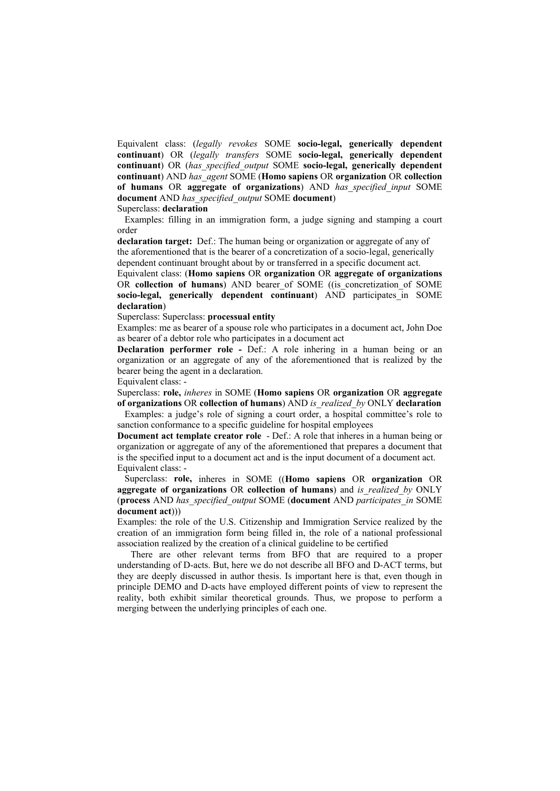Equivalent class: (*legally revokes* SOME **socio-legal, generically dependent continuant**) OR (*legally transfers* SOME **socio-legal, generically dependent continuant**) OR (*has\_specified\_output* SOME **socio-legal, generically dependent continuant**) AND *has\_agent* SOME (**Homo sapiens** OR **organization** OR **collection of humans** OR **aggregate of organizations**) AND *has\_specified\_input* SOME **document** AND *has\_specified\_output* SOME **document**)

Superclass: **declaration** 

Examples: filling in an immigration form, a judge signing and stamping a court order

**declaration target:** Def.: The human being or organization or aggregate of any of the aforementioned that is the bearer of a concretization of a socio-legal, generically dependent continuant brought about by or transferred in a specific document act.

Equivalent class: (**Homo sapiens** OR **organization** OR **aggregate of organizations**  OR **collection of humans**) AND bearer of SOME ((is concretization of SOME socio-legal, generically dependent continuant) AND participates in SOME **declaration**)

Superclass: Superclass: **processual entity**

Examples: me as bearer of a spouse role who participates in a document act, John Doe as bearer of a debtor role who participates in a document act

**Declaration performer role -** Def.: A role inhering in a human being or an organization or an aggregate of any of the aforementioned that is realized by the bearer being the agent in a declaration.

Equivalent class: -

Superclass: **role,** *inheres* in SOME (**Homo sapiens** OR **organization** OR **aggregate of organizations** OR **collection of humans**) AND *is\_realized\_by* ONLY **declaration**

Examples: a judge's role of signing a court order, a hospital committee's role to sanction conformance to a specific guideline for hospital employees

**Document act template creator role** - Def.: A role that inheres in a human being or organization or aggregate of any of the aforementioned that prepares a document that is the specified input to a document act and is the input document of a document act. Equivalent class: -

Superclass: **role,** inheres in SOME ((**Homo sapiens** OR **organization** OR **aggregate of organizations** OR **collection of humans**) and *is\_realized\_by* ONLY (**process** AND *has\_specified\_output* SOME (**document** AND *participates\_in* SOME **document act**)))

Examples: the role of the U.S. Citizenship and Immigration Service realized by the creation of an immigration form being filled in, the role of a national professional association realized by the creation of a clinical guideline to be certified

There are other relevant terms from BFO that are required to a proper understanding of D-acts. But, here we do not describe all BFO and D-ACT terms, but they are deeply discussed in author thesis. Is important here is that, even though in principle DEMO and D-acts have employed different points of view to represent the reality, both exhibit similar theoretical grounds. Thus, we propose to perform a merging between the underlying principles of each one.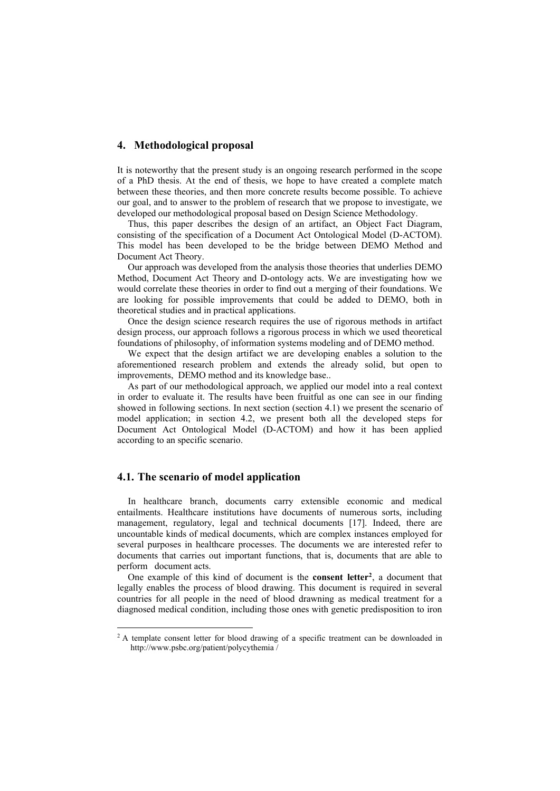## **4. Methodological proposal**

It is noteworthy that the present study is an ongoing research performed in the scope of a PhD thesis. At the end of thesis, we hope to have created a complete match between these theories, and then more concrete results become possible. To achieve our goal, and to answer to the problem of research that we propose to investigate, we developed our methodological proposal based on Design Science Methodology.

Thus, this paper describes the design of an artifact, an Object Fact Diagram, consisting of the specification of a Document Act Ontological Model (D-ACTOM). This model has been developed to be the bridge between DEMO Method and Document Act Theory.

Our approach was developed from the analysis those theories that underlies DEMO Method, Document Act Theory and D-ontology acts. We are investigating how we would correlate these theories in order to find out a merging of their foundations. We are looking for possible improvements that could be added to DEMO, both in theoretical studies and in practical applications.

Once the design science research requires the use of rigorous methods in artifact design process, our approach follows a rigorous process in which we used theoretical foundations of philosophy, of information systems modeling and of DEMO method.

We expect that the design artifact we are developing enables a solution to the aforementioned research problem and extends the already solid, but open to improvements, DEMO method and its knowledge base..

As part of our methodological approach, we applied our model into a real context in order to evaluate it. The results have been fruitful as one can see in our finding showed in following sections. In next section (section 4.1) we present the scenario of model application; in section 4.2, we present both all the developed steps for Document Act Ontological Model (D-ACTOM) and how it has been applied according to an specific scenario.

## **4.1. The scenario of model application**

 

In healthcare branch, documents carry extensible economic and medical entailments. Healthcare institutions have documents of numerous sorts, including management, regulatory, legal and technical documents [17]. Indeed, there are uncountable kinds of medical documents, which are complex instances employed for several purposes in healthcare processes. The documents we are interested refer to documents that carries out important functions, that is, documents that are able to perform document acts.

One example of this kind of document is the **consent letter2**, a document that legally enables the process of blood drawing. This document is required in several countries for all people in the need of blood drawning as medical treatment for a diagnosed medical condition, including those ones with genetic predisposition to iron

<sup>&</sup>lt;sup>2</sup> A template consent letter for blood drawing of a specific treatment can be downloaded in http://www.psbc.org/patient/polycythemia /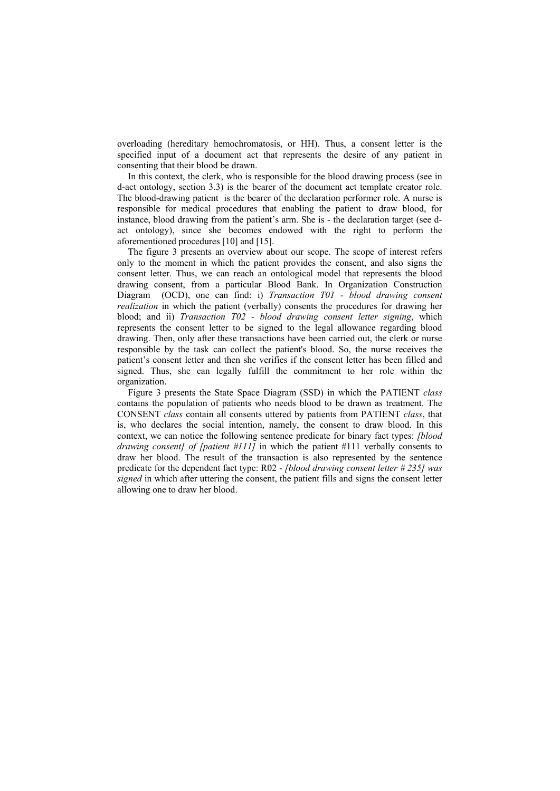overloading (hereditary hemochromatosis, or HH). Thus, a consent letter is the specified input of a document act that represents the desire of any patient in consenting that their blood be drawn.

In this context, the clerk, who is responsible for the blood drawing process (see in d-act ontology, section 3.3) is the bearer of the document act template creator role. The blood-drawing patient is the bearer of the declaration performer role. A nurse is responsible for medical procedures that enabling the patient to draw blood, for instance, blood drawing from the patient's arm. She is - the declaration target (see dact ontology), since she becomes endowed with the right to perform the aforementioned procedures [10] and [15].

The figure 3 presents an overview about our scope. The scope of interest refers only to the moment in which the patient provides the consent, and also signs the consent letter. Thus, we can reach an ontological model that represents the blood drawing consent, from a particular Blood Bank. In Organization Construction Diagram (OCD), one can find: i) *Transaction T01 - blood drawing consent realization* in which the patient (verbally) consents the procedures for drawing her blood; and ii) *Transaction T02 - blood drawing consent letter signing*, which represents the consent letter to be signed to the legal allowance regarding blood drawing. Then, only after these transactions have been carried out, the clerk or nurse responsible by the task can collect the patient's blood. So, the nurse receives the patient's consent letter and then she verifies if the consent letter has been filled and signed. Thus, she can legally fulfill the commitment to her role within the organization.

Figure 3 presents the State Space Diagram (SSD) in which the PATIENT *class*  contains the population of patients who needs blood to be drawn as treatment. The CONSENT *class* contain all consents uttered by patients from PATIENT *class*, that is, who declares the social intention, namely, the consent to draw blood. In this context, we can notice the following sentence predicate for binary fact types: *[blood drawing consent] of [patient #111]* in which the patient #111 verbally consents to draw her blood. The result of the transaction is also represented by the sentence predicate for the dependent fact type: R02 - *[blood drawing consent letter # 235] was signed* in which after uttering the consent, the patient fills and signs the consent letter allowing one to draw her blood.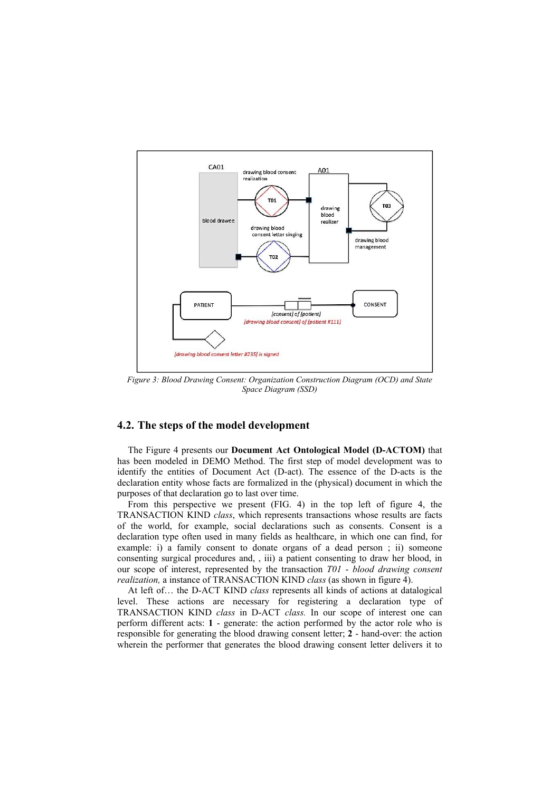

*Figure 3: Blood Drawing Consent: Organization Construction Diagram (OCD) and State Space Diagram (SSD)* 

# **4.2. The steps of the model development**

The Figure 4 presents our **Document Act Ontological Model (D-ACTOM)** that has been modeled in DEMO Method. The first step of model development was to identify the entities of Document Act (D-act). The essence of the D-acts is the declaration entity whose facts are formalized in the (physical) document in which the purposes of that declaration go to last over time.

From this perspective we present (FIG. 4) in the top left of figure 4, the TRANSACTION KIND *class*, which represents transactions whose results are facts of the world, for example, social declarations such as consents. Consent is a declaration type often used in many fields as healthcare, in which one can find, for example: i) a family consent to donate organs of a dead person ; ii) someone consenting surgical procedures and, , iii) a patient consenting to draw her blood, in our scope of interest, represented by the transaction *T01* - *blood drawing consent realization,* a instance of TRANSACTION KIND *class* (as shown in figure 4).

At left of… the D-ACT KIND *class* represents all kinds of actions at datalogical level. These actions are necessary for registering a declaration type of TRANSACTION KIND *class* in D-ACT *class.* In our scope of interest one can perform different acts: **1** - generate: the action performed by the actor role who is responsible for generating the blood drawing consent letter; **2** - hand-over: the action wherein the performer that generates the blood drawing consent letter delivers it to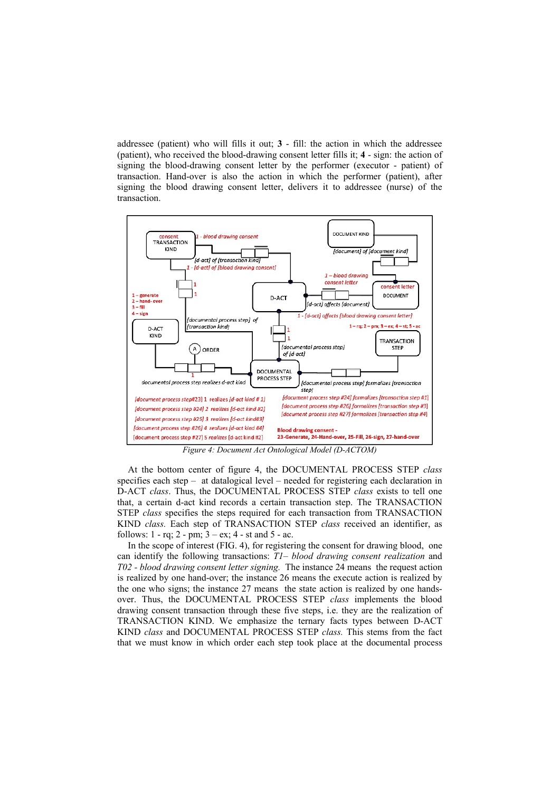addressee (patient) who will fills it out; **3** - fill: the action in which the addressee (patient), who received the blood-drawing consent letter fills it; **4** - sign: the action of signing the blood-drawing consent letter by the performer (executor - patient) of transaction. Hand-over is also the action in which the performer (patient), after signing the blood drawing consent letter, delivers it to addressee (nurse) of the transaction.



*Figure 4: Document Act Ontological Model (D-ACTOM)* 

At the bottom center of figure 4, the DOCUMENTAL PROCESS STEP *class*  specifies each step – at datalogical level – needed for registering each declaration in D-ACT *class*. Thus, the DOCUMENTAL PROCESS STEP *class* exists to tell one that, a certain d-act kind records a certain transaction step. The TRANSACTION STEP *class* specifies the steps required for each transaction from TRANSACTION KIND *class.* Each step of TRANSACTION STEP *class* received an identifier, as follows:  $1 - rq$ ;  $2 - pm$ ;  $3 - ex$ ;  $4 - st$  and  $5 - ac$ .

In the scope of interest (FIG. 4), for registering the consent for drawing blood, one can identify the following transactions: *T1*– *blood drawing consent realization* and *T02 - blood drawing consent letter signing.* The instance 24 means the request action is realized by one hand-over; the instance 26 means the execute action is realized by the one who signs; the instance 27 means the state action is realized by one handsover. Thus, the DOCUMENTAL PROCESS STEP *class* implements the blood drawing consent transaction through these five steps, i.e. they are the realization of TRANSACTION KIND. We emphasize the ternary facts types between D-ACT KIND *class* and DOCUMENTAL PROCESS STEP *class.* This stems from the fact that we must know in which order each step took place at the documental process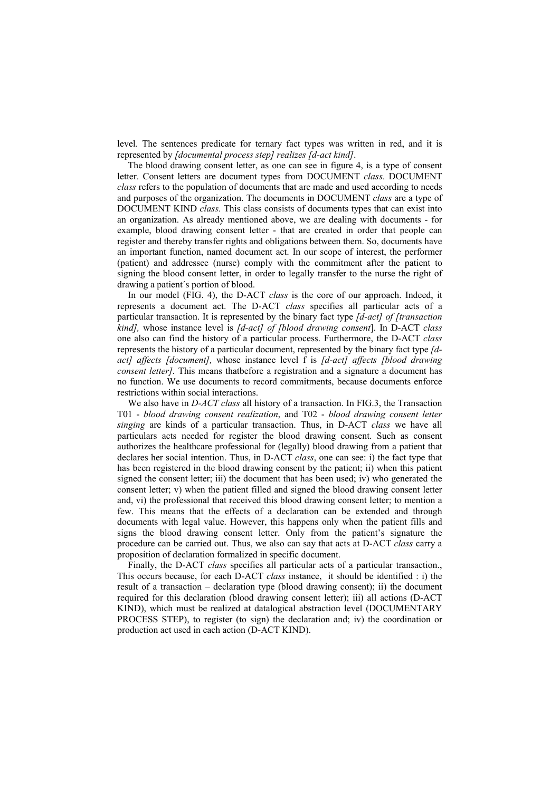level*.* The sentences predicate for ternary fact types was written in red, and it is represented by *[documental process step] realizes [d-act kind]*.

The blood drawing consent letter, as one can see in figure 4, is a type of consent letter. Consent letters are document types from DOCUMENT *class.* DOCUMENT *class* refers to the population of documents that are made and used according to needs and purposes of the organization. The documents in DOCUMENT *class* are a type of DOCUMENT KIND *class.* This class consists of documents types that can exist into an organization. As already mentioned above, we are dealing with documents - for example, blood drawing consent letter - that are created in order that people can register and thereby transfer rights and obligations between them. So, documents have an important function, named document act. In our scope of interest, the performer (patient) and addressee (nurse) comply with the commitment after the patient to signing the blood consent letter, in order to legally transfer to the nurse the right of drawing a patient´s portion of blood.

In our model (FIG. 4), the D-ACT *class* is the core of our approach. Indeed, it represents a document act. The D-ACT *class* specifies all particular acts of a particular transaction. It is represented by the binary fact type *[d-act] of [transaction kind],* whose instance level is *[d-act] of [blood drawing consent*]. In D-ACT *class* one also can find the history of a particular process. Furthermore, the D-ACT *class*  represents the history of a particular document, represented by the binary fact type *[dact] affects [document],* whose instance level f is *[d-act] affects [blood drawing consent letter]*. This means that before a registration and a signature a document has no function. We use documents to record commitments, because documents enforce restrictions within social interactions.

We also have in *D-ACT class* all history of a transaction. In FIG.3, the Transaction T01 - *blood drawing consent realization*, and T02 - *blood drawing consent letter singing* are kinds of a particular transaction. Thus, in D-ACT *class* we have all particulars acts needed for register the blood drawing consent. Such as consent authorizes the healthcare professional for (legally) blood drawing from a patient that declares her social intention. Thus, in D-ACT *class*, one can see: i) the fact type that has been registered in the blood drawing consent by the patient; ii) when this patient signed the consent letter; iii) the document that has been used; iv) who generated the consent letter; v) when the patient filled and signed the blood drawing consent letter and, vi) the professional that received this blood drawing consent letter; to mention a few. This means that the effects of a declaration can be extended and through documents with legal value. However, this happens only when the patient fills and signs the blood drawing consent letter. Only from the patient's signature the procedure can be carried out. Thus, we also can say that acts at D-ACT *class* carry a proposition of declaration formalized in specific document.

Finally, the D-ACT *class* specifies all particular acts of a particular transaction., This occurs because, for each D-ACT *class* instance, it should be identified : i) the result of a transaction – declaration type (blood drawing consent); ii) the document required for this declaration (blood drawing consent letter); iii) all actions (D-ACT KIND), which must be realized at datalogical abstraction level (DOCUMENTARY PROCESS STEP), to register (to sign) the declaration and; iv) the coordination or production act used in each action (D-ACT KIND).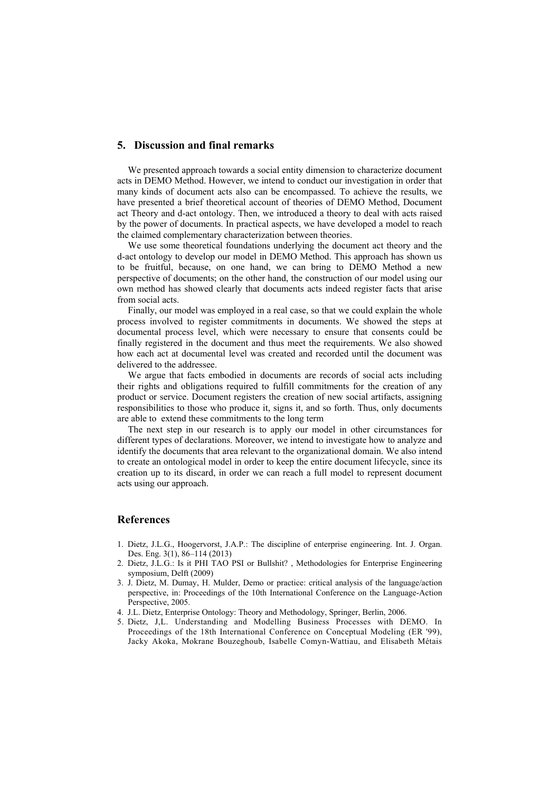## **5. Discussion and final remarks**

We presented approach towards a social entity dimension to characterize document acts in DEMO Method. However, we intend to conduct our investigation in order that many kinds of document acts also can be encompassed. To achieve the results, we have presented a brief theoretical account of theories of DEMO Method, Document act Theory and d-act ontology. Then, we introduced a theory to deal with acts raised by the power of documents. In practical aspects, we have developed a model to reach the claimed complementary characterization between theories.

We use some theoretical foundations underlying the document act theory and the d-act ontology to develop our model in DEMO Method. This approach has shown us to be fruitful, because, on one hand, we can bring to DEMO Method a new perspective of documents; on the other hand, the construction of our model using our own method has showed clearly that documents acts indeed register facts that arise from social acts.

Finally, our model was employed in a real case, so that we could explain the whole process involved to register commitments in documents. We showed the steps at documental process level, which were necessary to ensure that consents could be finally registered in the document and thus meet the requirements. We also showed how each act at documental level was created and recorded until the document was delivered to the addressee.

We argue that facts embodied in documents are records of social acts including their rights and obligations required to fulfill commitments for the creation of any product or service. Document registers the creation of new social artifacts, assigning responsibilities to those who produce it, signs it, and so forth. Thus, only documents are able to extend these commitments to the long term

The next step in our research is to apply our model in other circumstances for different types of declarations. Moreover, we intend to investigate how to analyze and identify the documents that area relevant to the organizational domain. We also intend to create an ontological model in order to keep the entire document lifecycle, since its creation up to its discard, in order we can reach a full model to represent document acts using our approach.

## **References**

- 1. Dietz, J.L.G., Hoogervorst, J.A.P.: The discipline of enterprise engineering. Int. J. Organ. Des. Eng. 3(1), 86–114 (2013)
- 2. Dietz, J.L.G.: Is it PHI TAO PSI or Bullshit? , Methodologies for Enterprise Engineering symposium, Delft (2009)
- 3. J. Dietz, M. Dumay, H. Mulder, Demo or practice: critical analysis of the language/action perspective, in: Proceedings of the 10th International Conference on the Language-Action Perspective, 2005.
- 4. J.L. Dietz, Enterprise Ontology: Theory and Methodology, Springer, Berlin, 2006.
- 5. Dietz, J,L. Understanding and Modelling Business Processes with DEMO. In Proceedings of the 18th International Conference on Conceptual Modeling (ER '99), Jacky Akoka, Mokrane Bouzeghoub, Isabelle Comyn-Wattiau, and Elisabeth Métais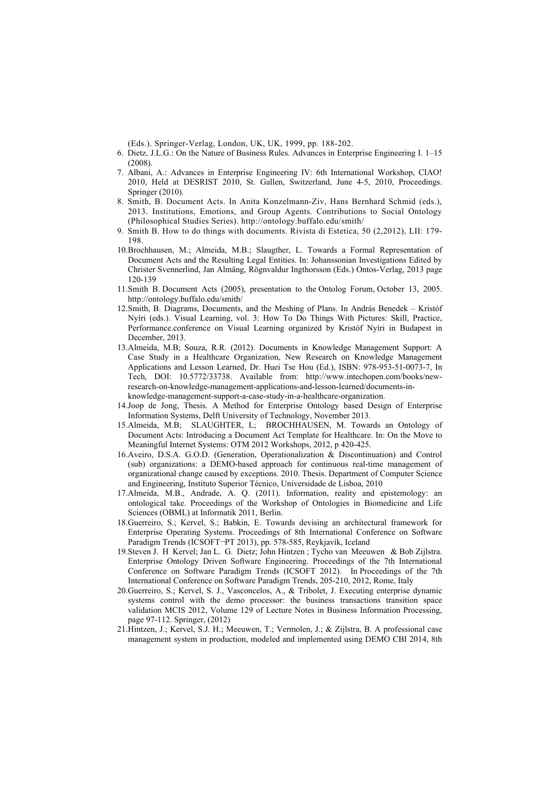(Eds.). Springer-Verlag, London, UK, UK, 1999, pp. 188-202.

- 6. Dietz, J.L.G.: On the Nature of Business Rules. Advances in Enterprise Engineering I. 1–15 (2008).
- 7. Albani, A.: Advances in Enterprise Engineering IV: 6th International Workshop, CIAO! 2010, Held at DESRIST 2010, St. Gallen, Switzerland, June 4-5, 2010, Proceedings. Springer (2010).
- 8. Smith, B. Document Acts. In Anita Konzelmann-Ziv, Hans Bernhard Schmid (eds.), 2013. Institutions, Emotions, and Group Agents. Contributions to Social Ontology (Philosophical Studies Series). http://ontology.buffalo.edu/smith/
- 9. Smith B. How to do things with documents. Rivista di Estetica, 50 (2,2012), LII: 179- 198.
- 10.Brochhausen, M.; Almeida, M.B.; Slaugther, L. Towards a Formal Representation of Document Acts and the Resulting Legal Entities. In: Johanssonian Investigations Edited by Christer Svennerlind, Jan Almäng, Rögnvaldur Ingthorsson (Eds.) Ontos-Verlag, 2013 page 120-139
- 11.Smith B. Document Acts (2005), presentation to the Ontolog Forum, October 13, 2005. http://ontology.buffalo.edu/smith/
- 12.Smith, B. Diagrams, Documents, and the Meshing of Plans. In András Benedek Kristóf Nyíri (eds.). Visual Learning, vol. 3: How To Do Things With Pictures: Skill, Practice, Performance.conference on Visual Learning organized by Kristóf Nyíri in Budapest in December, 2013.
- 13.Almeida, M.B; Souza, R.R. (2012). Documents in Knowledge Management Support: A Case Study in a Healthcare Organization, New Research on Knowledge Management Applications and Lesson Learned, Dr. Huei Tse Hou (Ed.), ISBN: 978-953-51-0073-7, In Tech, DOI: 10.5772/33738. Available from: http://www.intechopen.com/books/newresearch-on-knowledge-management-applications-and-lesson-learned/documents-inknowledge-management-support-a-case-study-in-a-healthcare-organization.
- 14.Joop de Jong, Thesis. A Method for Enterprise Ontology based Design of Enterprise Information Systems, Delft University of Technology, November 2013.
- 15.Almeida, M.B; SLAUGHTER, L; BROCHHAUSEN, M. Towards an Ontology of Document Acts: Introducing a Document Act Template for Healthcare. In: On the Move to Meaningful Internet Systems: OTM 2012 Workshops, 2012, p 420-425.
- 16.Aveiro, D.S.A. G.O.D. (Generation, Operationalization & Discontinuation) and Control (sub) organizations: a DEMO-based approach for continuous real-time management of organizational change caused by exceptions. 2010. Thesis. Department of Computer Science and Engineering, Instituto Superior Técnico, Universidade de Lisboa, 2010
- 17.Almeida, M.B., Andrade, A. Q. (2011). Information, reality and epistemology: an ontological take. Proceedings of the Workshop of Ontologies in Biomedicine and Life Sciences (OBML) at Informatik 2011, Berlin.
- 18.Guerreiro, S.; Kervel, S.; Babkin, E. Towards devising an architectural framework for Enterprise Operating Systems. Proceedings of 8th International Conference on Software Paradigm Trends (ICSOFT¬PT 2013), pp. 578-585, Reykjavík, Iceland
- 19.Steven J. H Kervel; Jan L. G. Dietz; John Hintzen ; Tycho van Meeuwen & Bob Zijlstra. Enterprise Ontology Driven Software Engineering. Proceedings of the 7th International Conference on Software Paradigm Trends (ICSOFT 2012). In Proceedings of the 7th International Conference on Software Paradigm Trends, 205-210, 2012, Rome, Italy
- 20.Guerreiro, S.; Kervel, S. J., Vasconcelos, A., & Tribolet, J. Executing enterprise dynamic systems control with the demo processor: the business transactions transition space validation MCIS 2012, Volume 129 of Lecture Notes in Business Information Processing, page 97-112. Springer, (2012)
- 21.Hintzen, J.; Kervel, S.J. H.; Meeuwen, T.; Vermolen, J.; & Zijlstra, B. A professional case management system in production, modeled and implemented using DEMO CBI 2014, 8th